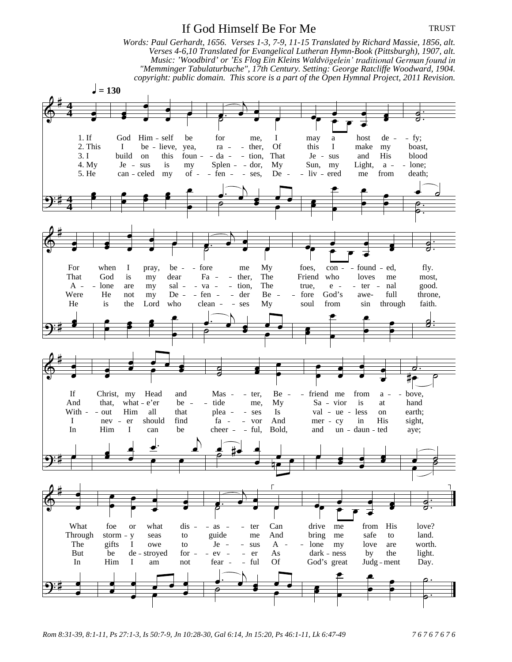## If God Himself Be For Me

*Words: Paul Gerhardt, 1656. Verses 1-3, 7-9, 11-15 Translated by Richard Massie, 1856, alt. Verses 4-6,10 Translated for Evangelical Lutheran Hymn-Book (Pittsburgh), 1907, alt.* Music: 'Woodbird' or 'Es Flog Ein Kleins Waldvögelein' traditional German found in *"Memminger Tabulaturbuche", 17th Century. Setting: George Ratcliffe Woodward, 1904. copyright: public domain. This score is a part of the Open Hymnal Project, 2011 Revision.*  $= 130$ 1. If God Him  $-$  self be for me, I may a host de  $-$  fy; 2. This I be lieve, yea, ra - ther, Of this I make my boast, 3. I build on this foun - - da - - tion, That Je - sus and His blood 4. My Je - sus is my Splen - - dor, My Sun, my Light,  $a - -$  lone;<br>5. He can - celed my of - - fen - - ses, De - - liv - ered me from death;  $my$  of  $-$  fen  $-$  ses, De  $-$  liv  $-$  ered me **4 4 4 4** For when I pray, be - - fore me My foes, con - - found - ed, fly.<br>That God is my dear Fa - - ther, The Friend who loves me most That God is my dear Fa - ther, The Friend who loves me most,  $A - -$  lone are my sal - - va - - tion, The true, e - - ter - nal good. Were He not my De - fen - - der Be - - fore God's awe- full throne, He is the Lord who clean - ses My soul from sin through faith. If Christ, my Head and Mas - - ter, Be - - friend me from a - - bove,<br>And that, what - e'er be - - tide me, My Sa - vior is at hand And that, what e'er be - tide me, My Sa vior is at hand With - out Him all that plea - ses Is val - ue - less on earth; I nev er should find fa vor And mer cy in His sight, In Him I can be cheer - ful, Bold, and un daun ted aye; What foe or what dis - - as - - ter Can drive me from His love? Through storm y seas to guide me And bring me safe to land. The gifts I owe to  $Je - - sus A - - lone my$  love are worth. But be de-stroyed for - - ev - - er As dark - ness by the light. In Him I am not fear - ful Of God's great Judg - ment Day.

*Rom 8:31-39, 8:1-11, Ps 27:1-3, Is 50:7-9, Jn 10:28-30, Gal 6:14, Jn 15:20, Ps 46:1-11, Lk 6:47-49 7 6 7 6 7 6 7 6*